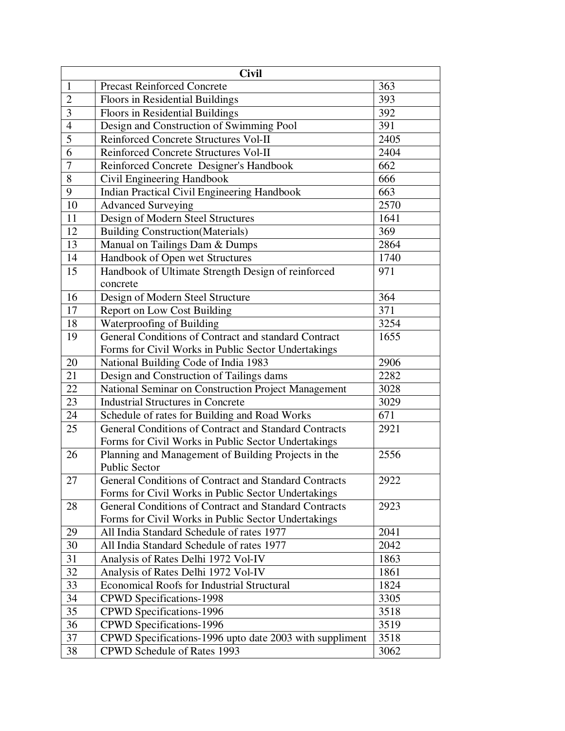| <b>Civil</b>   |                                                                                                              |      |  |
|----------------|--------------------------------------------------------------------------------------------------------------|------|--|
| $\mathbf{1}$   | <b>Precast Reinforced Concrete</b>                                                                           | 363  |  |
| $\overline{2}$ | Floors in Residential Buildings                                                                              | 393  |  |
| 3              | Floors in Residential Buildings                                                                              | 392  |  |
| $\overline{4}$ | Design and Construction of Swimming Pool                                                                     | 391  |  |
| 5              | Reinforced Concrete Structures Vol-II                                                                        | 2405 |  |
| 6              | Reinforced Concrete Structures Vol-II                                                                        | 2404 |  |
| $\overline{7}$ | Reinforced Concrete Designer's Handbook                                                                      | 662  |  |
| 8              | Civil Engineering Handbook                                                                                   | 666  |  |
| $\overline{9}$ | Indian Practical Civil Engineering Handbook                                                                  | 663  |  |
| 10             | <b>Advanced Surveying</b>                                                                                    | 2570 |  |
| 11             | Design of Modern Steel Structures                                                                            | 1641 |  |
| 12             | <b>Building Construction</b> (Materials)                                                                     | 369  |  |
| 13             | Manual on Tailings Dam & Dumps                                                                               | 2864 |  |
| 14             | Handbook of Open wet Structures                                                                              | 1740 |  |
| 15             | Handbook of Ultimate Strength Design of reinforced                                                           | 971  |  |
|                | concrete                                                                                                     |      |  |
| 16             | Design of Modern Steel Structure                                                                             | 364  |  |
| 17             | Report on Low Cost Building                                                                                  | 371  |  |
| 18             | Waterproofing of Building                                                                                    | 3254 |  |
| 19             | General Conditions of Contract and standard Contract                                                         | 1655 |  |
|                | Forms for Civil Works in Public Sector Undertakings                                                          |      |  |
| 20             | National Building Code of India 1983                                                                         | 2906 |  |
| 21             | Design and Construction of Tailings dams                                                                     | 2282 |  |
| 22             | National Seminar on Construction Project Management                                                          | 3028 |  |
| 23             | <b>Industrial Structures in Concrete</b>                                                                     | 3029 |  |
| 24             | Schedule of rates for Building and Road Works                                                                | 671  |  |
| 25             | General Conditions of Contract and Standard Contracts                                                        | 2921 |  |
|                | Forms for Civil Works in Public Sector Undertakings                                                          |      |  |
| 26             | Planning and Management of Building Projects in the                                                          | 2556 |  |
|                | Public Sector                                                                                                |      |  |
| $27\,$         | <b>General Conditions of Contract and Standard Contracts</b>                                                 | 2922 |  |
| 28             | Forms for Civil Works in Public Sector Undertakings<br>General Conditions of Contract and Standard Contracts | 2923 |  |
|                | Forms for Civil Works in Public Sector Undertakings                                                          |      |  |
| 29             | All India Standard Schedule of rates 1977                                                                    | 2041 |  |
| 30             | All India Standard Schedule of rates 1977                                                                    | 2042 |  |
| 31             | Analysis of Rates Delhi 1972 Vol-IV                                                                          | 1863 |  |
| 32             | Analysis of Rates Delhi 1972 Vol-IV                                                                          | 1861 |  |
| 33             | <b>Economical Roofs for Industrial Structural</b>                                                            | 1824 |  |
| 34             | <b>CPWD</b> Specifications-1998                                                                              | 3305 |  |
| 35             | <b>CPWD</b> Specifications-1996                                                                              | 3518 |  |
| 36             | CPWD Specifications-1996                                                                                     | 3519 |  |
| 37             | CPWD Specifications-1996 upto date 2003 with suppliment                                                      | 3518 |  |
| 38             | CPWD Schedule of Rates 1993                                                                                  | 3062 |  |
|                |                                                                                                              |      |  |